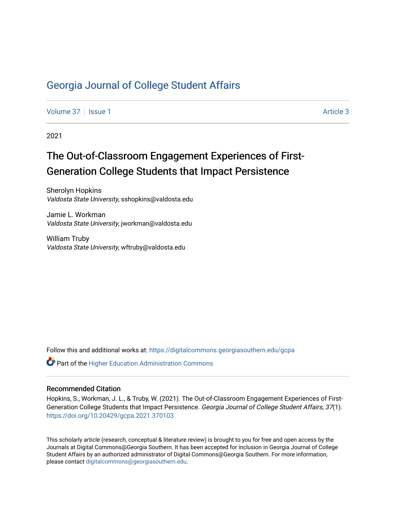# [Georgia Journal of College Student Affairs](https://digitalcommons.georgiasouthern.edu/gcpa)

[Volume 37](https://digitalcommons.georgiasouthern.edu/gcpa/vol37) | [Issue 1](https://digitalcommons.georgiasouthern.edu/gcpa/vol37/iss1) Article 3

2021

# The Out-of-Classroom Engagement Experiences of First-Generation College Students that Impact Persistence

Sherolyn Hopkins Valdosta State University, sshopkins@valdosta.edu

Jamie L. Workman Valdosta State University, jworkman@valdosta.edu

William Truby Valdosta State University, wftruby@valdosta.edu

Follow this and additional works at: [https://digitalcommons.georgiasouthern.edu/gcpa](https://digitalcommons.georgiasouthern.edu/gcpa?utm_source=digitalcommons.georgiasouthern.edu%2Fgcpa%2Fvol37%2Fiss1%2F3&utm_medium=PDF&utm_campaign=PDFCoverPages) 

 $\mathbf C^{\mathsf a}$  Part of the Higher Education Administration Commons

#### Recommended Citation

Hopkins, S., Workman, J. L., & Truby, W. (2021). The Out-of-Classroom Engagement Experiences of First-Generation College Students that Impact Persistence. Georgia Journal of College Student Affairs, 37(1). <https://doi.org/10.20429/gcpa.2021.370103>

This scholarly article (research, conceptual & literature review) is brought to you for free and open access by the Journals at Digital Commons@Georgia Southern. It has been accepted for inclusion in Georgia Journal of College Student Affairs by an authorized administrator of Digital Commons@Georgia Southern. For more information, please contact [digitalcommons@georgiasouthern.edu.](mailto:digitalcommons@georgiasouthern.edu)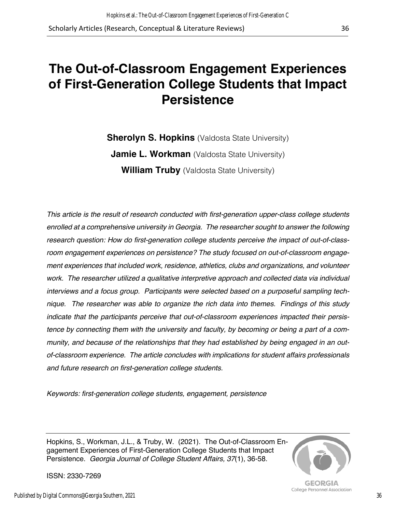# **The Out-of-Classroom Engagement Experiences of First-Generation College Students that Impact Persistence**

**Sherolyn S. Hopkins** (Valdosta State University) **Jamie L. Workman** (Valdosta State University) **William Truby** (Valdosta State University)

*This article is the result of research conducted with first-generation upper-class college students enrolled at a comprehensive university in Georgia. The researcher sought to answer the following research question: How do first-generation college students perceive the impact of out-of-classroom engagement experiences on persistence? The study focused on out-of-classroom engagement experiences that included work, residence, athletics, clubs and organizations, and volunteer work. The researcher utilized a qualitative interpretive approach and collected data via individual interviews and a focus group. Participants were selected based on a purposeful sampling technique. The researcher was able to organize the rich data into themes. Findings of this study indicate that the participants perceive that out-of-classroom experiences impacted their persistence by connecting them with the university and faculty, by becoming or being a part of a community, and because of the relationships that they had established by being engaged in an outof-classroom experience. The article concludes with implications for student affairs professionals and future research on first-generation college students.*

*Keywords: first-generation college students, engagement, persistence* 

Hopkins, S., Workman, J.L., & Truby, W. (2021). The Out-of-Classroom Engagement Experiences of First-Generation College Students that Impact Persistence. *Georgia Journal of College Student Affairs, 37*(1), 36-58.



**GEORGIA** College Personnel Association

ISSN: 2330-7269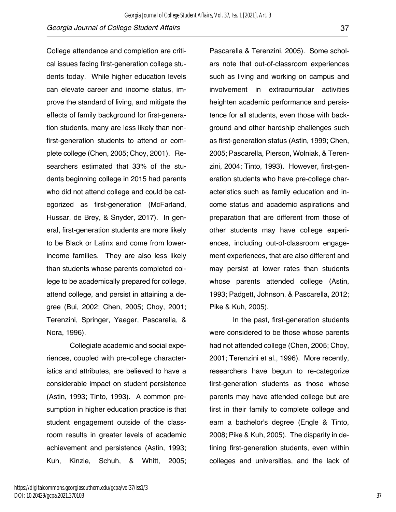College attendance and completion are critical issues facing first-generation college students today. While higher education levels can elevate career and income status, improve the standard of living, and mitigate the effects of family background for first-generation students, many are less likely than nonfirst-generation students to attend or complete college (Chen, 2005; Choy, 2001). Researchers estimated that 33% of the students beginning college in 2015 had parents who did not attend college and could be categorized as first-generation (McFarland, Hussar, de Brey, & Snyder, 2017). In general, first-generation students are more likely to be Black or Latinx and come from lowerincome families. They are also less likely than students whose parents completed college to be academically prepared for college, attend college, and persist in attaining a degree (Bui, 2002; Chen, 2005; Choy, 2001; Terenzini, Springer, Yaeger, Pascarella, & Nora, 1996).

Collegiate academic and social experiences, coupled with pre-college characteristics and attributes, are believed to have a considerable impact on student persistence (Astin, 1993; Tinto, 1993). A common presumption in higher education practice is that student engagement outside of the classroom results in greater levels of academic achievement and persistence (Astin, 1993; Kuh, Kinzie, Schuh, & Whitt, 2005;

Pascarella & Terenzini, 2005). Some scholars note that out-of-classroom experiences such as living and working on campus and involvement in extracurricular activities heighten academic performance and persistence for all students, even those with background and other hardship challenges such as first-generation status (Astin, 1999; Chen, 2005; Pascarella, Pierson, Wolniak, & Terenzini, 2004; Tinto, 1993). However, first-generation students who have pre-college characteristics such as family education and income status and academic aspirations and preparation that are different from those of other students may have college experiences, including out-of-classroom engagement experiences, that are also different and may persist at lower rates than students whose parents attended college (Astin, 1993; Padgett, Johnson, & Pascarella, 2012; Pike & Kuh, 2005).

In the past, first-generation students were considered to be those whose parents had not attended college (Chen, 2005; Choy, 2001; Terenzini et al., 1996). More recently, researchers have begun to re-categorize first-generation students as those whose parents may have attended college but are first in their family to complete college and earn a bachelor's degree (Engle & Tinto, 2008; Pike & Kuh, 2005). The disparity in defining first-generation students, even within colleges and universities, and the lack of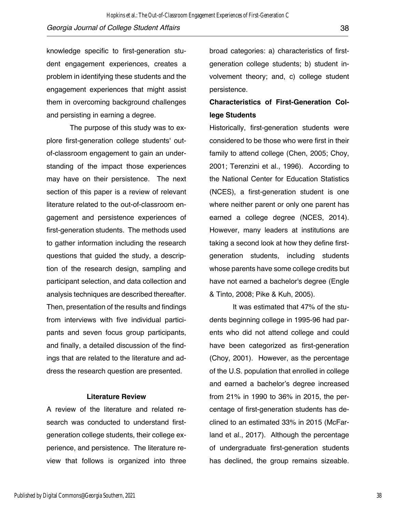knowledge specific to first-generation student engagement experiences, creates a problem in identifying these students and the engagement experiences that might assist them in overcoming background challenges and persisting in earning a degree.

The purpose of this study was to explore first-generation college students' outof-classroom engagement to gain an understanding of the impact those experiences may have on their persistence. The next section of this paper is a review of relevant literature related to the out-of-classroom engagement and persistence experiences of first-generation students. The methods used to gather information including the research questions that guided the study, a description of the research design, sampling and participant selection, and data collection and analysis techniques are described thereafter. Then, presentation of the results and findings from interviews with five individual participants and seven focus group participants, and finally, a detailed discussion of the findings that are related to the literature and address the research question are presented.

#### **Literature Review**

A review of the literature and related research was conducted to understand firstgeneration college students, their college experience, and persistence. The literature review that follows is organized into three broad categories: a) characteristics of firstgeneration college students; b) student involvement theory; and, c) college student persistence.

# **Characteristics of First-Generation College Students**

Historically, first-generation students were considered to be those who were first in their family to attend college (Chen, 2005; Choy, 2001; Terenzini et al., 1996). According to the National Center for Education Statistics (NCES), a first-generation student is one where neither parent or only one parent has earned a college degree (NCES, 2014). However, many leaders at institutions are taking a second look at how they define firstgeneration students, including students whose parents have some college credits but have not earned a bachelor's degree (Engle & Tinto, 2008; Pike & Kuh, 2005).

It was estimated that 47% of the students beginning college in 1995-96 had parents who did not attend college and could have been categorized as first-generation (Choy, 2001). However, as the percentage of the U.S. population that enrolled in college and earned a bachelor's degree increased from 21% in 1990 to 36% in 2015, the percentage of first-generation students has declined to an estimated 33% in 2015 (McFarland et al., 2017). Although the percentage of undergraduate first-generation students has declined, the group remains sizeable.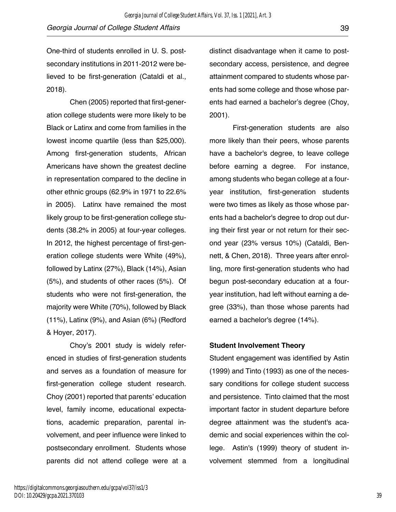One-third of students enrolled in U. S. postsecondary institutions in 2011-2012 were believed to be first-generation (Cataldi et al., 2018).

Chen (2005) reported that first-generation college students were more likely to be Black or Latinx and come from families in the lowest income quartile (less than \$25,000). Among first-generation students, African Americans have shown the greatest decline in representation compared to the decline in other ethnic groups (62.9% in 1971 to 22.6% in 2005). Latinx have remained the most likely group to be first-generation college students (38.2% in 2005) at four-year colleges. In 2012, the highest percentage of first-generation college students were White (49%), followed by Latinx (27%), Black (14%), Asian (5%), and students of other races (5%). Of students who were not first-generation, the majority were White (70%), followed by Black (11%), Latinx (9%), and Asian (6%) (Redford & Hoyer, 2017).

Choy's 2001 study is widely referenced in studies of first-generation students and serves as a foundation of measure for first-generation college student research. Choy (2001) reported that parents' education level, family income, educational expectations, academic preparation, parental involvement, and peer influence were linked to postsecondary enrollment. Students whose parents did not attend college were at a distinct disadvantage when it came to postsecondary access, persistence, and degree attainment compared to students whose parents had some college and those whose parents had earned a bachelor's degree (Choy, 2001).

First-generation students are also more likely than their peers, whose parents have a bachelor's degree, to leave college before earning a degree. For instance, among students who began college at a fouryear institution, first-generation students were two times as likely as those whose parents had a bachelor's degree to drop out during their first year or not return for their second year (23% versus 10%) (Cataldi, Bennett, & Chen, 2018). Three years after enrolling, more first-generation students who had begun post-secondary education at a fouryear institution, had left without earning a degree (33%), than those whose parents had earned a bachelor's degree (14%).

#### **Student Involvement Theory**

Student engagement was identified by Astin (1999) and Tinto (1993) as one of the necessary conditions for college student success and persistence. Tinto claimed that the most important factor in student departure before degree attainment was the student's academic and social experiences within the college. Astin's (1999) theory of student involvement stemmed from a longitudinal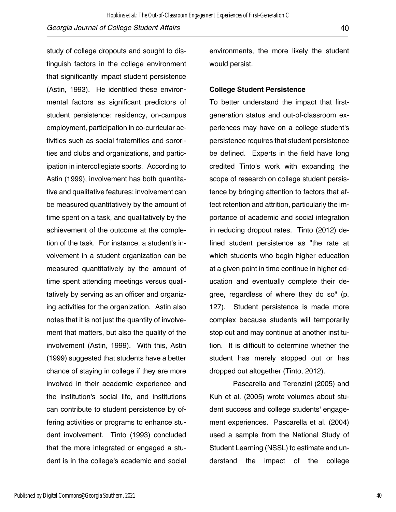study of college dropouts and sought to distinguish factors in the college environment that significantly impact student persistence (Astin, 1993). He identified these environmental factors as significant predictors of student persistence: residency, on-campus employment, participation in co-curricular activities such as social fraternities and sororities and clubs and organizations, and participation in intercollegiate sports. According to Astin (1999), involvement has both quantitative and qualitative features; involvement can be measured quantitatively by the amount of time spent on a task, and qualitatively by the achievement of the outcome at the completion of the task. For instance, a student's involvement in a student organization can be measured quantitatively by the amount of time spent attending meetings versus qualitatively by serving as an officer and organizing activities for the organization. Astin also notes that it is not just the quantity of involvement that matters, but also the quality of the involvement (Astin, 1999). With this, Astin (1999) suggested that students have a better chance of staying in college if they are more involved in their academic experience and the institution's social life, and institutions can contribute to student persistence by offering activities or programs to enhance student involvement. Tinto (1993) concluded that the more integrated or engaged a student is in the college's academic and social

environments, the more likely the student would persist.

#### **College Student Persistence**

To better understand the impact that firstgeneration status and out-of-classroom experiences may have on a college student's persistence requires that student persistence be defined. Experts in the field have long credited Tinto's work with expanding the scope of research on college student persistence by bringing attention to factors that affect retention and attrition, particularly the importance of academic and social integration in reducing dropout rates. Tinto (2012) defined student persistence as "the rate at which students who begin higher education at a given point in time continue in higher education and eventually complete their degree, regardless of where they do so" (p. 127). Student persistence is made more complex because students will temporarily stop out and may continue at another institution. It is difficult to determine whether the student has merely stopped out or has dropped out altogether (Tinto, 2012).

 Pascarella and Terenzini (2005) and Kuh et al. (2005) wrote volumes about student success and college students' engagement experiences. Pascarella et al. (2004) used a sample from the National Study of Student Learning (NSSL) to estimate and understand the impact of the college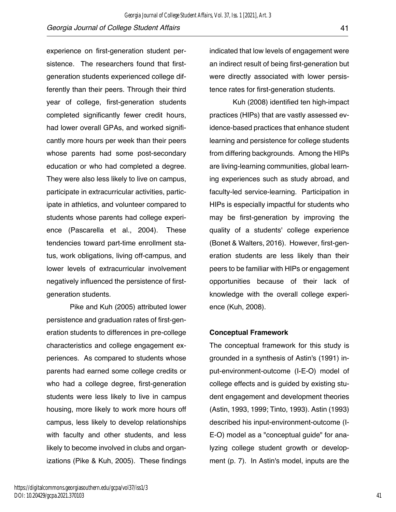experience on first-generation student persistence. The researchers found that firstgeneration students experienced college differently than their peers. Through their third year of college, first-generation students completed significantly fewer credit hours, had lower overall GPAs, and worked significantly more hours per week than their peers whose parents had some post-secondary education or who had completed a degree. They were also less likely to live on campus, participate in extracurricular activities, participate in athletics, and volunteer compared to students whose parents had college experience (Pascarella et al., 2004). These tendencies toward part-time enrollment status, work obligations, living off-campus, and lower levels of extracurricular involvement negatively influenced the persistence of firstgeneration students.

Pike and Kuh (2005) attributed lower persistence and graduation rates of first-generation students to differences in pre-college characteristics and college engagement experiences. As compared to students whose parents had earned some college credits or who had a college degree, first-generation students were less likely to live in campus housing, more likely to work more hours off campus, less likely to develop relationships with faculty and other students, and less likely to become involved in clubs and organizations (Pike & Kuh, 2005). These findings

indicated that low levels of engagement were an indirect result of being first-generation but were directly associated with lower persistence rates for first-generation students.

Kuh (2008) identified ten high-impact practices (HIPs) that are vastly assessed evidence-based practices that enhance student learning and persistence for college students from differing backgrounds. Among the HIPs are living-learning communities, global learning experiences such as study abroad, and faculty-led service-learning. Participation in HIPs is especially impactful for students who may be first-generation by improving the quality of a students' college experience (Bonet & Walters, 2016). However, first-generation students are less likely than their peers to be familiar with HIPs or engagement opportunities because of their lack of knowledge with the overall college experience (Kuh, 2008).

#### **Conceptual Framework**

The conceptual framework for this study is grounded in a synthesis of Astin's (1991) input-environment-outcome (I-E-O) model of college effects and is guided by existing student engagement and development theories (Astin, 1993, 1999; Tinto, 1993). Astin (1993) described his input-environment-outcome (I-E-O) model as a "conceptual guide" for analyzing college student growth or development (p. 7). In Astin's model, inputs are the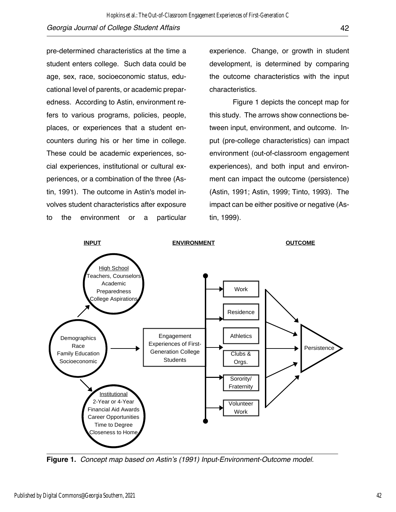pre-determined characteristics at the time a student enters college. Such data could be age, sex, race, socioeconomic status, educational level of parents, or academic preparedness. According to Astin, environment refers to various programs, policies, people, places, or experiences that a student encounters during his or her time in college. These could be academic experiences, social experiences, institutional or cultural experiences, or a combination of the three (Astin, 1991). The outcome in Astin's model involves student characteristics after exposure to the environment or a particular experience. Change, or growth in student development, is determined by comparing the outcome characteristics with the input characteristics.

Figure 1 depicts the concept map for this study. The arrows show connections between input, environment, and outcome. Input (pre-college characteristics) can impact environment (out-of-classroom engagement experiences), and both input and environment can impact the outcome (persistence) (Astin, 1991; Astin, 1999; Tinto, 1993). The impact can be either positive or negative (Astin, 1999).



**Figure 1.** *Concept map based on Astin's (1991) Input-Environment-Outcome model.*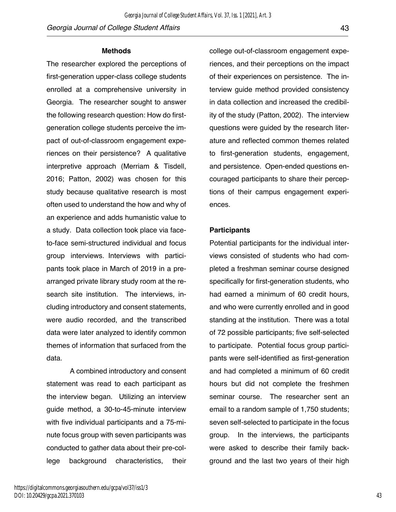https://digitalcommons.georgiasouthern.edu/gcpa/vol37/iss1/3 DOI: 10.20429/gcpa.2021.370103

#### **Methods**

The researcher explored the perceptions of first-generation upper-class college students enrolled at a comprehensive university in Georgia. The researcher sought to answer the following research question: How do firstgeneration college students perceive the impact of out-of-classroom engagement experiences on their persistence? A qualitative interpretive approach (Merriam & Tisdell, 2016; Patton, 2002) was chosen for this study because qualitative research is most often used to understand the how and why of an experience and adds humanistic value to a study. Data collection took place via faceto-face semi-structured individual and focus group interviews. Interviews with participants took place in March of 2019 in a prearranged private library study room at the research site institution. The interviews, including introductory and consent statements, were audio recorded, and the transcribed data were later analyzed to identify common themes of information that surfaced from the data.

A combined introductory and consent statement was read to each participant as the interview began. Utilizing an interview guide method, a 30-to-45-minute interview with five individual participants and a 75-minute focus group with seven participants was conducted to gather data about their pre-college background characteristics, their

college out-of-classroom engagement experiences, and their perceptions on the impact of their experiences on persistence. The interview guide method provided consistency in data collection and increased the credibility of the study (Patton, 2002). The interview questions were guided by the research literature and reflected common themes related to first-generation students, engagement, and persistence. Open-ended questions encouraged participants to share their perceptions of their campus engagement experiences.

#### **Participants**

*Georgia Journal of College Student Affairs, Vol. 37, Iss. 1 [2021], Art. 3*

Potential participants for the individual interviews consisted of students who had completed a freshman seminar course designed specifically for first-generation students, who had earned a minimum of 60 credit hours, and who were currently enrolled and in good standing at the institution. There was a total of 72 possible participants; five self-selected to participate. Potential focus group participants were self-identified as first-generation and had completed a minimum of 60 credit hours but did not complete the freshmen seminar course. The researcher sent an email to a random sample of 1,750 students; seven self-selected to participate in the focus group. In the interviews, the participants were asked to describe their family background and the last two years of their high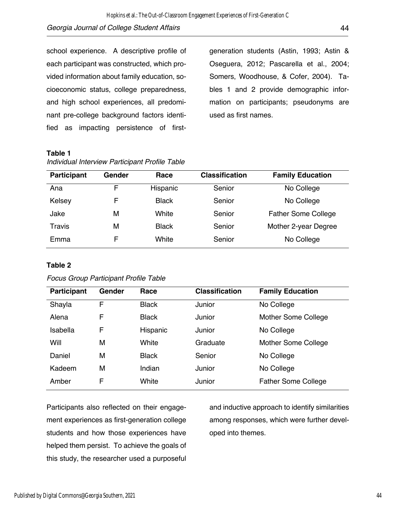school experience. A descriptive profile of each participant was constructed, which provided information about family education, socioeconomic status, college preparedness, and high school experiences, all predominant pre-college background factors identified as impacting persistence of first-

generation students (Astin, 1993; Astin & Oseguera, 2012; Pascarella et al., 2004; Somers, Woodhouse, & Cofer, 2004). Tables 1 and 2 provide demographic information on participants; pseudonyms are used as first names.

#### **Table 1**

| <b>Participant</b> | Gender | Race         | <b>Classification</b> | <b>Family Education</b>    |
|--------------------|--------|--------------|-----------------------|----------------------------|
| Ana                | F      | Hispanic     | Senior                | No College                 |
| Kelsey             | F      | <b>Black</b> | Senior                | No College                 |
| Jake               | М      | White        | Senior                | <b>Father Some College</b> |
| <b>Travis</b>      | М      | <b>Black</b> | Senior                | Mother 2-year Degree       |
| Emma               | F      | White        | Senior                | No College                 |

*Individual Interview Participant Profile Table*

#### **Table 2**

|  |  | <b>Focus Group Participant Profile Table</b> |  |  |
|--|--|----------------------------------------------|--|--|
|--|--|----------------------------------------------|--|--|

| Participant | Gender | Race         | <b>Classification</b> | <b>Family Education</b>    |
|-------------|--------|--------------|-----------------------|----------------------------|
| Shayla      | F      | <b>Black</b> | Junior                | No College                 |
| Alena       | F      | <b>Black</b> | Junior                | Mother Some College        |
| Isabella    | F      | Hispanic     | Junior                | No College                 |
| Will        | М      | White        | Graduate              | Mother Some College        |
| Daniel      | М      | <b>Black</b> | Senior                | No College                 |
| Kadeem      | М      | Indian       | Junior                | No College                 |
| Amber       | F      | White        | Junior                | <b>Father Some College</b> |

Participants also reflected on their engagement experiences as first-generation college students and how those experiences have helped them persist. To achieve the goals of this study, the researcher used a purposeful

and inductive approach to identify similarities among responses, which were further developed into themes.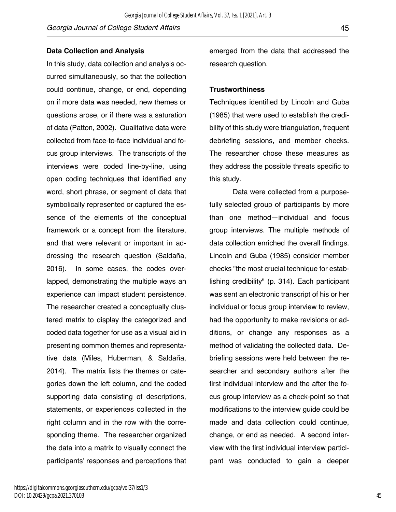sponding theme. The researcher organized the data into a matrix to visually connect the participants' responses and perceptions that

right column and in the row with the corre-

In this study, data collection and analysis occurred simultaneously, so that the collection could continue, change, or end, depending

on if more data was needed, new themes or questions arose, or if there was a saturation of data (Patton, 2002). Qualitative data were collected from face-to-face individual and focus group interviews. The transcripts of the

interviews were coded line-by-line, using open coding techniques that identified any

word, short phrase, or segment of data that symbolically represented or captured the essence of the elements of the conceptual

framework or a concept from the literature, and that were relevant or important in ad-

dressing the research question (Saldaña, 2016). In some cases, the codes overlapped, demonstrating the multiple ways an

experience can impact student persistence. The researcher created a conceptually clus-

tered matrix to display the categorized and coded data together for use as a visual aid in presenting common themes and representative data (Miles, Huberman, & Saldaña, 2014). The matrix lists the themes or categories down the left column, and the coded

research question. **Trustworthiness** Techniques identified by Lincoln and Guba (1985) that were used to establish the credibility of this study were triangulation, frequent debriefing sessions, and member checks. The researcher chose these measures as they address the possible threats specific to this study.

emerged from the data that addressed the

Data were collected from a purposefully selected group of participants by more than one method—individual and focus group interviews. The multiple methods of data collection enriched the overall findings. Lincoln and Guba (1985) consider member checks "the most crucial technique for establishing credibility" (p. 314). Each participant was sent an electronic transcript of his or her individual or focus group interview to review, had the opportunity to make revisions or additions, or change any responses as a method of validating the collected data. Debriefing sessions were held between the researcher and secondary authors after the first individual interview and the after the focus group interview as a check-point so that modifications to the interview guide could be made and data collection could continue, change, or end as needed. A second interview with the first individual interview participant was conducted to gain a deeper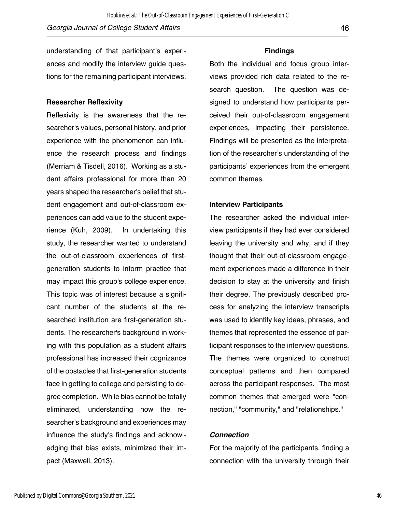Hopkins et al.: The Out-of-Classroom Engagement Experiences of First-Generation C

ences and modify the interview guide questions for the remaining participant interviews.

#### **Researcher Reflexivity**

Reflexivity is the awareness that the researcher's values, personal history, and prior experience with the phenomenon can influence the research process and findings (Merriam & Tisdell, 2016). Working as a student affairs professional for more than 20 years shaped the researcher's belief that student engagement and out-of-classroom experiences can add value to the student experience (Kuh, 2009). In undertaking this study, the researcher wanted to understand the out-of-classroom experiences of firstgeneration students to inform practice that may impact this group's college experience. This topic was of interest because a significant number of the students at the researched institution are first-generation students. The researcher's background in working with this population as a student affairs professional has increased their cognizance of the obstacles that first-generation students face in getting to college and persisting to degree completion. While bias cannot be totally eliminated, understanding how the researcher's background and experiences may influence the study's findings and acknowledging that bias exists, minimized their impact (Maxwell, 2013).

#### **Findings**

Both the individual and focus group interviews provided rich data related to the research question. The question was designed to understand how participants perceived their out-of-classroom engagement experiences, impacting their persistence. Findings will be presented as the interpretation of the researcher's understanding of the participants' experiences from the emergent common themes.

#### **Interview Participants**

The researcher asked the individual interview participants if they had ever considered leaving the university and why, and if they thought that their out-of-classroom engagement experiences made a difference in their decision to stay at the university and finish their degree. The previously described process for analyzing the interview transcripts was used to identify key ideas, phrases, and themes that represented the essence of participant responses to the interview questions. The themes were organized to construct conceptual patterns and then compared across the participant responses. The most common themes that emerged were "connection," "community," and "relationships."

#### *Connection*

For the majority of the participants, finding a connection with the university through their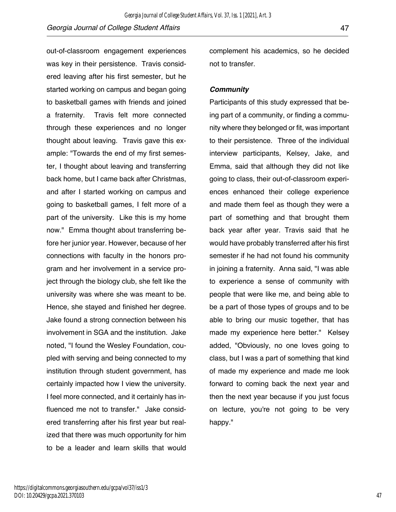out-of-classroom engagement experiences was key in their persistence. Travis considered leaving after his first semester, but he started working on campus and began going to basketball games with friends and joined a fraternity. Travis felt more connected through these experiences and no longer thought about leaving. Travis gave this example: "Towards the end of my first semester, I thought about leaving and transferring back home, but I came back after Christmas, and after I started working on campus and going to basketball games, I felt more of a part of the university. Like this is my home now." Emma thought about transferring before her junior year. However, because of her connections with faculty in the honors program and her involvement in a service project through the biology club, she felt like the university was where she was meant to be. Hence, she stayed and finished her degree. Jake found a strong connection between his involvement in SGA and the institution. Jake noted, "I found the Wesley Foundation, coupled with serving and being connected to my institution through student government, has certainly impacted how I view the university. I feel more connected, and it certainly has influenced me not to transfer." Jake considered transferring after his first year but realized that there was much opportunity for him to be a leader and learn skills that would

complement his academics, so he decided not to transfer.

#### *Community*

Participants of this study expressed that being part of a community, or finding a community where they belonged or fit, was important to their persistence. Three of the individual interview participants, Kelsey, Jake, and Emma, said that although they did not like going to class, their out-of-classroom experiences enhanced their college experience and made them feel as though they were a part of something and that brought them back year after year. Travis said that he would have probably transferred after his first semester if he had not found his community in joining a fraternity. Anna said, "I was able to experience a sense of community with people that were like me, and being able to be a part of those types of groups and to be able to bring our music together, that has made my experience here better." Kelsey added, "Obviously, no one loves going to class, but I was a part of something that kind of made my experience and made me look forward to coming back the next year and then the next year because if you just focus on lecture, you're not going to be very happy."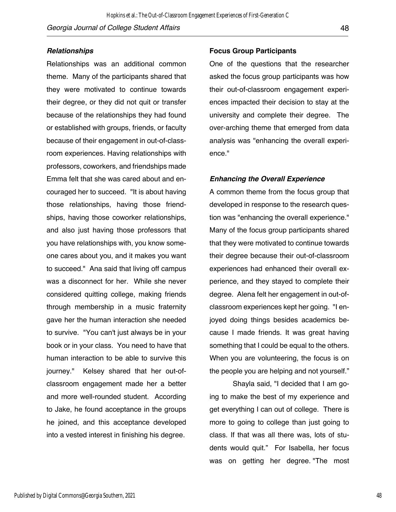#### *Relationships*

Relationships was an additional common theme. Many of the participants shared that they were motivated to continue towards their degree, or they did not quit or transfer because of the relationships they had found or established with groups, friends, or faculty because of their engagement in out-of-classroom experiences. Having relationships with professors, coworkers, and friendships made Emma felt that she was cared about and encouraged her to succeed. "It is about having those relationships, having those friendships, having those coworker relationships, and also just having those professors that you have relationships with, you know someone cares about you, and it makes you want to succeed." Ana said that living off campus was a disconnect for her. While she never considered quitting college, making friends through membership in a music fraternity gave her the human interaction she needed to survive. "You can't just always be in your book or in your class. You need to have that human interaction to be able to survive this journey." Kelsey shared that her out-ofclassroom engagement made her a better and more well-rounded student. According to Jake, he found acceptance in the groups he joined, and this acceptance developed into a vested interest in finishing his degree.

### **Focus Group Participants**

One of the questions that the researcher asked the focus group participants was how their out-of-classroom engagement experiences impacted their decision to stay at the university and complete their degree. The over-arching theme that emerged from data analysis was "enhancing the overall experience."

#### *Enhancing the Overall Experience*

A common theme from the focus group that developed in response to the research question was "enhancing the overall experience." Many of the focus group participants shared that they were motivated to continue towards their degree because their out-of-classroom experiences had enhanced their overall experience, and they stayed to complete their degree. Alena felt her engagement in out-ofclassroom experiences kept her going. "I enjoyed doing things besides academics because I made friends. It was great having something that I could be equal to the others. When you are volunteering, the focus is on the people you are helping and not yourself."

Shayla said, "I decided that I am going to make the best of my experience and get everything I can out of college. There is more to going to college than just going to class. If that was all there was, lots of students would quit." For Isabella, her focus was on getting her degree. "The most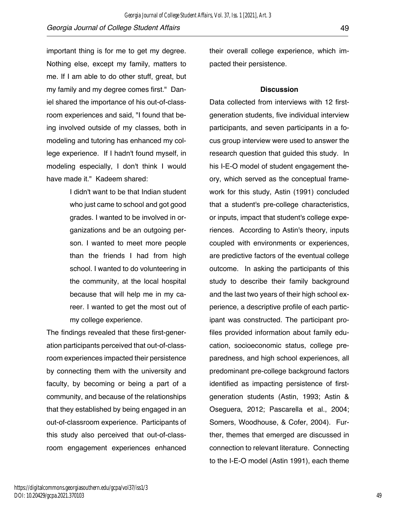important thing is for me to get my degree. Nothing else, except my family, matters to me. If I am able to do other stuff, great, but my family and my degree comes first." Daniel shared the importance of his out-of-classroom experiences and said, "I found that being involved outside of my classes, both in modeling and tutoring has enhanced my college experience. If I hadn't found myself, in modeling especially, I don't think I would have made it." Kadeem shared:

> I didn't want to be that Indian student who just came to school and got good grades. I wanted to be involved in organizations and be an outgoing person. I wanted to meet more people than the friends I had from high school. I wanted to do volunteering in the community, at the local hospital because that will help me in my career. I wanted to get the most out of my college experience.

The findings revealed that these first-generation participants perceived that out-of-classroom experiences impacted their persistence by connecting them with the university and faculty, by becoming or being a part of a community, and because of the relationships that they established by being engaged in an out-of-classroom experience. Participants of this study also perceived that out-of-classroom engagement experiences enhanced

their overall college experience, which impacted their persistence.

#### **Discussion**

Data collected from interviews with 12 firstgeneration students, five individual interview participants, and seven participants in a focus group interview were used to answer the research question that guided this study. In his I-E-O model of student engagement theory, which served as the conceptual framework for this study, Astin (1991) concluded that a student's pre-college characteristics, or inputs, impact that student's college experiences. According to Astin's theory, inputs coupled with environments or experiences, are predictive factors of the eventual college outcome. In asking the participants of this study to describe their family background and the last two years of their high school experience, a descriptive profile of each participant was constructed. The participant profiles provided information about family education, socioeconomic status, college preparedness, and high school experiences, all predominant pre-college background factors identified as impacting persistence of firstgeneration students (Astin, 1993; Astin & Oseguera, 2012; Pascarella et al., 2004; Somers, Woodhouse, & Cofer, 2004). Further, themes that emerged are discussed in connection to relevant literature. Connecting to the I-E-O model (Astin 1991), each theme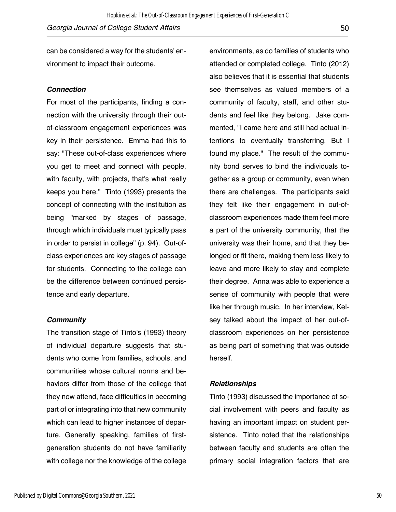can be considered a way for the students' environment to impact their outcome.

#### *Connection*

For most of the participants, finding a connection with the university through their outof-classroom engagement experiences was key in their persistence. Emma had this to say: "These out-of-class experiences where you get to meet and connect with people, with faculty, with projects, that's what really keeps you here." Tinto (1993) presents the concept of connecting with the institution as being "marked by stages of passage, through which individuals must typically pass in order to persist in college" (p. 94). Out-ofclass experiences are key stages of passage for students. Connecting to the college can be the difference between continued persistence and early departure.

#### *Community*

The transition stage of Tinto's (1993) theory of individual departure suggests that students who come from families, schools, and communities whose cultural norms and behaviors differ from those of the college that they now attend, face difficulties in becoming part of or integrating into that new community which can lead to higher instances of departure. Generally speaking, families of firstgeneration students do not have familiarity with college nor the knowledge of the college

environments, as do families of students who attended or completed college. Tinto (2012) also believes that it is essential that students see themselves as valued members of a community of faculty, staff, and other students and feel like they belong. Jake commented, "I came here and still had actual intentions to eventually transferring. But I found my place." The result of the community bond serves to bind the individuals together as a group or community, even when there are challenges. The participants said they felt like their engagement in out-ofclassroom experiences made them feel more a part of the university community, that the university was their home, and that they belonged or fit there, making them less likely to leave and more likely to stay and complete their degree. Anna was able to experience a sense of community with people that were like her through music. In her interview, Kelsey talked about the impact of her out-ofclassroom experiences on her persistence as being part of something that was outside herself.

#### *Relationships*

Tinto (1993) discussed the importance of social involvement with peers and faculty as having an important impact on student persistence. Tinto noted that the relationships between faculty and students are often the primary social integration factors that are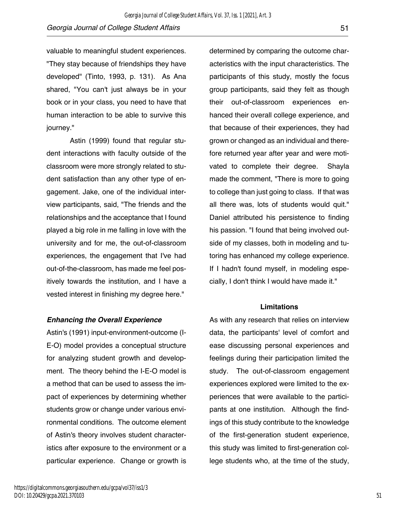valuable to meaningful student experiences. "They stay because of friendships they have developed" (Tinto, 1993, p. 131). As Ana shared, "You can't just always be in your book or in your class, you need to have that human interaction to be able to survive this journey."

Astin (1999) found that regular student interactions with faculty outside of the classroom were more strongly related to student satisfaction than any other type of engagement. Jake, one of the individual interview participants, said, "The friends and the relationships and the acceptance that I found played a big role in me falling in love with the university and for me, the out-of-classroom experiences, the engagement that I've had out-of-the-classroom, has made me feel positively towards the institution, and I have a vested interest in finishing my degree here."

#### *Enhancing the Overall Experience*

Astin's (1991) input-environment-outcome (I-E-O) model provides a conceptual structure for analyzing student growth and development. The theory behind the I-E-O model is a method that can be used to assess the impact of experiences by determining whether students grow or change under various environmental conditions. The outcome element of Astin's theory involves student characteristics after exposure to the environment or a particular experience. Change or growth is

determined by comparing the outcome characteristics with the input characteristics. The participants of this study, mostly the focus group participants, said they felt as though their out-of-classroom experiences enhanced their overall college experience, and that because of their experiences, they had grown or changed as an individual and therefore returned year after year and were motivated to complete their degree. Shayla made the comment, "There is more to going to college than just going to class. If that was all there was, lots of students would quit." Daniel attributed his persistence to finding his passion. "I found that being involved outside of my classes, both in modeling and tutoring has enhanced my college experience. If I hadn't found myself, in modeling especially, I don't think I would have made it."

#### **Limitations**

As with any research that relies on interview data, the participants' level of comfort and ease discussing personal experiences and feelings during their participation limited the study. The out-of-classroom engagement experiences explored were limited to the experiences that were available to the participants at one institution. Although the findings of this study contribute to the knowledge of the first-generation student experience, this study was limited to first-generation college students who, at the time of the study,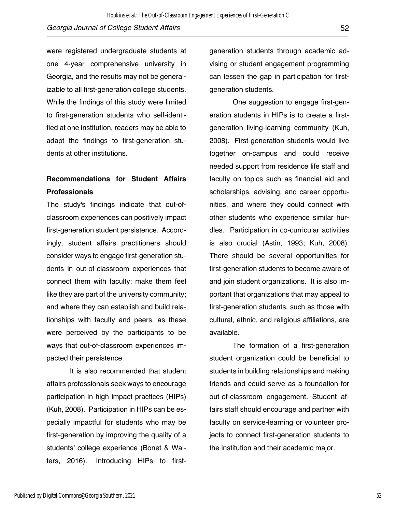were registered undergraduate students at one 4-year comprehensive university in Georgia, and the results may not be generalizable to all first-generation college students. While the findings of this study were limited to first-generation students who self-identified at one institution, readers may be able to adapt the findings to first-generation students at other institutions.

## **Recommendations for Student Affairs Professionals**

The study's findings indicate that out-ofclassroom experiences can positively impact first-generation student persistence. Accordingly, student affairs practitioners should consider ways to engage first-generation students in out-of-classroom experiences that connect them with faculty; make them feel like they are part of the university community; and where they can establish and build relationships with faculty and peers, as these were perceived by the participants to be ways that out-of-classroom experiences impacted their persistence.

It is also recommended that student affairs professionals seek ways to encourage participation in high impact practices (HIPs) (Kuh, 2008). Participation in HIPs can be especially impactful for students who may be first-generation by improving the quality of a students' college experience (Bonet & Walters, 2016). Introducing HIPs to firstgeneration students through academic advising or student engagement programming can lessen the gap in participation for firstgeneration students.

One suggestion to engage first-generation students in HIPs is to create a firstgeneration living-learning community (Kuh, 2008). First-generation students would live together on-campus and could receive needed support from residence life staff and faculty on topics such as financial aid and scholarships, advising, and career opportunities, and where they could connect with other students who experience similar hurdles. Participation in co-curricular activities is also crucial (Astin, 1993; Kuh, 2008). There should be several opportunities for first-generation students to become aware of and join student organizations. It is also important that organizations that may appeal to first-generation students, such as those with cultural, ethnic, and religious affiliations, are available.

The formation of a first-generation student organization could be beneficial to students in building relationships and making friends and could serve as a foundation for out-of-classroom engagement. Student affairs staff should encourage and partner with faculty on service-learning or volunteer projects to connect first-generation students to the institution and their academic major.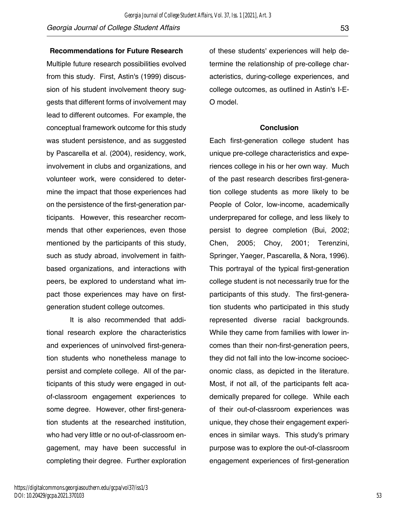#### **Recommendations for Future Research**

Multiple future research possibilities evolved from this study. First, Astin's (1999) discussion of his student involvement theory suggests that different forms of involvement may lead to different outcomes. For example, the conceptual framework outcome for this study was student persistence, and as suggested by Pascarella et al. (2004), residency, work, involvement in clubs and organizations, and volunteer work, were considered to determine the impact that those experiences had on the persistence of the first-generation participants. However, this researcher recommends that other experiences, even those mentioned by the participants of this study, such as study abroad, involvement in faithbased organizations, and interactions with peers, be explored to understand what impact those experiences may have on firstgeneration student college outcomes.

It is also recommended that additional research explore the characteristics and experiences of uninvolved first-generation students who nonetheless manage to persist and complete college. All of the participants of this study were engaged in outof-classroom engagement experiences to some degree. However, other first-generation students at the researched institution, who had very little or no out-of-classroom engagement, may have been successful in completing their degree. Further exploration of these students' experiences will help determine the relationship of pre-college characteristics, during-college experiences, and college outcomes, as outlined in Astin's I-E-O model.

#### **Conclusion**

Each first-generation college student has unique pre-college characteristics and experiences college in his or her own way. Much of the past research describes first-generation college students as more likely to be People of Color, low-income, academically underprepared for college, and less likely to persist to degree completion (Bui, 2002; Chen, 2005; Choy, 2001; Terenzini, Springer, Yaeger, Pascarella, & Nora, 1996). This portrayal of the typical first-generation college student is not necessarily true for the participants of this study. The first-generation students who participated in this study represented diverse racial backgrounds. While they came from families with lower incomes than their non-first-generation peers, they did not fall into the low-income socioeconomic class, as depicted in the literature. Most, if not all, of the participants felt academically prepared for college. While each of their out-of-classroom experiences was unique, they chose their engagement experiences in similar ways. This study's primary purpose was to explore the out-of-classroom engagement experiences of first-generation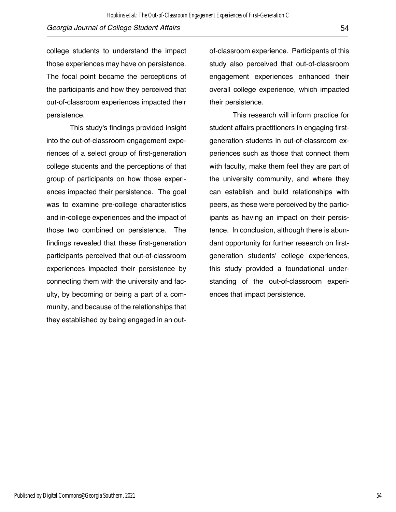college students to understand the impact those experiences may have on persistence. The focal point became the perceptions of the participants and how they perceived that out-of-classroom experiences impacted their persistence.

This study's findings provided insight into the out-of-classroom engagement experiences of a select group of first-generation college students and the perceptions of that group of participants on how those experiences impacted their persistence. The goal was to examine pre-college characteristics and in-college experiences and the impact of those two combined on persistence. The findings revealed that these first-generation participants perceived that out-of-classroom experiences impacted their persistence by connecting them with the university and faculty, by becoming or being a part of a community, and because of the relationships that they established by being engaged in an outof-classroom experience. Participants of this study also perceived that out-of-classroom engagement experiences enhanced their overall college experience, which impacted their persistence.

This research will inform practice for student affairs practitioners in engaging firstgeneration students in out-of-classroom experiences such as those that connect them with faculty, make them feel they are part of the university community, and where they can establish and build relationships with peers, as these were perceived by the participants as having an impact on their persistence. In conclusion, although there is abundant opportunity for further research on firstgeneration students' college experiences, this study provided a foundational understanding of the out-of-classroom experiences that impact persistence.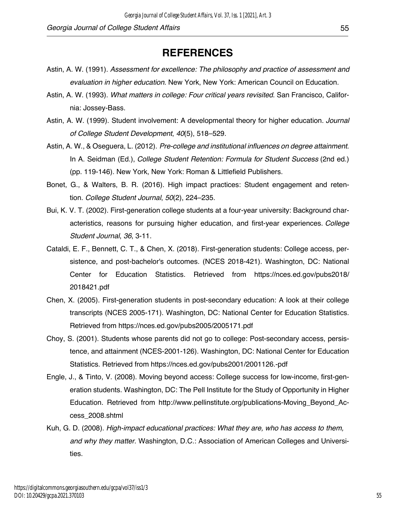# **REFERENCES**

- Astin, A. W. (1991). *Assessment for excellence: The philosophy and practice of assessment and evaluation in higher education*. New York, New York: American Council on Education.
- Astin, A. W. (1993). *What matters in college: Four critical years revisited*. San Francisco, California: Jossey-Bass.
- Astin, A. W. (1999). Student involvement: A developmental theory for higher education. *Journal of College Student Development*, *40*(5), 518–529.
- Astin, A. W., & Oseguera, L. (2012). *Pre-college and institutional influences on degree attainment*. In A. Seidman (Ed.), *College Student Retention: Formula for Student Success* (2nd ed.) (pp. 119-146). New York, New York: Roman & Littlefield Publishers.
- Bonet, G., & Walters, B. R. (2016). High impact practices: Student engagement and retention. *College Student Journal*, *50*(2), 224–235.
- Bui, K. V. T. (2002). First-generation college students at a four-year university: Background characteristics, reasons for pursuing higher education, and first-year experiences. *College Student Journal*, *36*, 3-11.
- Cataldi, E. F., Bennett, C. T., & Chen, X. (2018). First-generation students: College access, persistence, and post-bachelor's outcomes. (NCES 2018-421). Washington, DC: National Center for Education Statistics. Retrieved from https://nces.ed.gov/pubs2018/ 2018421.pdf
- Chen, X. (2005). First-generation students in post-secondary education: A look at their college transcripts (NCES 2005-171). Washington, DC: National Center for Education Statistics. Retrieved from https://nces.ed.gov/pubs2005/2005171.pdf
- Choy, S. (2001). Students whose parents did not go to college: Post-secondary access, persistence, and attainment (NCES-2001-126). Washington, DC: National Center for Education Statistics. Retrieved from https://nces.ed.gov/pubs2001/2001126.-pdf
- Engle, J., & Tinto, V. (2008). Moving beyond access: College success for low-income, first-generation students. Washington, DC: The Pell Institute for the Study of Opportunity in Higher Education. Retrieved from http://www.pellinstitute.org/publications-Moving\_Beyond\_Access\_2008.shtml
- Kuh, G. D. (2008). *High-impact educational practices: What they are, who has access to them, and why they matter*. Washington, D.C.: Association of American Colleges and Universities.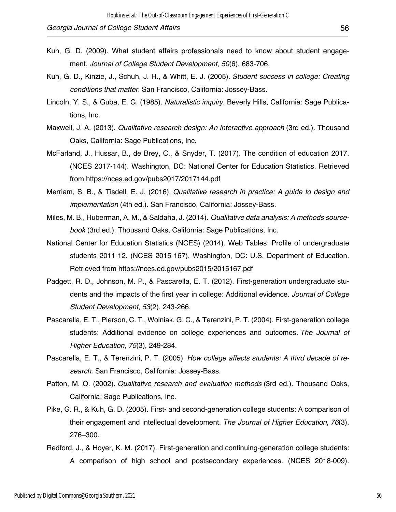- Kuh, G. D. (2009). What student affairs professionals need to know about student engagement. *Journal of College Student Development*, *50*(6), 683-706.
- Kuh, G. D., Kinzie, J., Schuh, J. H., & Whitt, E. J. (2005). *Student success in college: Creating conditions that matter.* San Francisco, California: Jossey-Bass.
- Lincoln, Y. S., & Guba, E. G. (1985). *Naturalistic inquiry*. Beverly Hills, California: Sage Publications, Inc.
- Maxwell, J. A. (2013). *Qualitative research design: An interactive approach* (3rd ed.). Thousand Oaks, California: Sage Publications, Inc.
- McFarland, J., Hussar, B., de Brey, C., & Snyder, T. (2017). The condition of education 2017. (NCES 2017-144). Washington, DC: National Center for Education Statistics. Retrieved from https://nces.ed.gov/pubs2017/2017144.pdf
- Merriam, S. B., & Tisdell, E. J. (2016). *Qualitative research in practice: A guide to design and implementation* (4th ed.)*.* San Francisco, California: Jossey-Bass.
- Miles, M. B., Huberman, A. M., & Saldaña, J. (2014). *Qualitative data analysis: A methods sourcebook* (3rd ed.). Thousand Oaks, California: Sage Publications, Inc.
- National Center for Education Statistics (NCES) (2014). Web Tables: Profile of undergraduate students 2011-12. (NCES 2015-167). Washington, DC: U.S. Department of Education. Retrieved from https://nces.ed.gov/pubs2015/2015167.pdf
- Padgett, R. D., Johnson, M. P., & Pascarella, E. T. (2012). First-generation undergraduate students and the impacts of the first year in college: Additional evidence. *Journal of College Student Development*, *53*(2), 243-266.
- Pascarella, E. T., Pierson, C. T., Wolniak, G. C., & Terenzini, P. T. (2004). First-generation college students: Additional evidence on college experiences and outcomes. *The Journal of Higher Education*, *75*(3), 249-284.
- Pascarella, E. T., & Terenzini, P. T. (2005). *How college affects students: A third decade of research*. San Francisco, California: Jossey-Bass.
- Patton, M. Q. (2002). *Qualitative research and evaluation methods* (3rd ed.). Thousand Oaks, California: Sage Publications, Inc.
- Pike, G. R., & Kuh, G. D. (2005). First- and second-generation college students: A comparison of their engagement and intellectual development. *The Journal of Higher Education*, *76*(3), 276–300.
- Redford, J., & Hoyer, K. M. (2017). First-generation and continuing-generation college students: A comparison of high school and postsecondary experiences. (NCES 2018-009).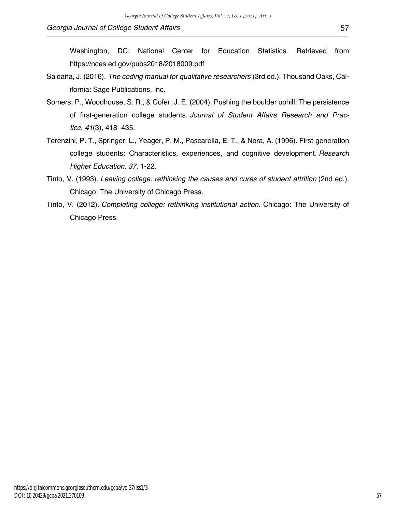Washington, DC: National Center for Education Statistics. Retrieved from https://nces.ed.gov/pubs2018/2018009.pdf

- Saldaña, J. (2016). *The coding manual for qualitative researchers* (3rd ed.). Thousand Oaks, California: Sage Publications, Inc.
- Somers, P., Woodhouse, S. R., & Cofer, J. E. (2004). Pushing the boulder uphill: The persistence of first-generation college students. *Journal of Student Affairs Research and Practice*, *41*(3), 418–435.
- Terenzini, P. T., Springer, L., Yeager, P. M., Pascarella, E. T., & Nora, A. (1996). First-generation college students: Characteristics, experiences, and cognitive development. *Research Higher Education*, *37*, 1-22.
- Tinto, V. (1993). *Leaving college: rethinking the causes and cures of student attrition* (2nd ed.). Chicago: The University of Chicago Press.
- Tinto, V. (2012). *Completing college: rethinking institutional action*. Chicago: The University of Chicago Press.